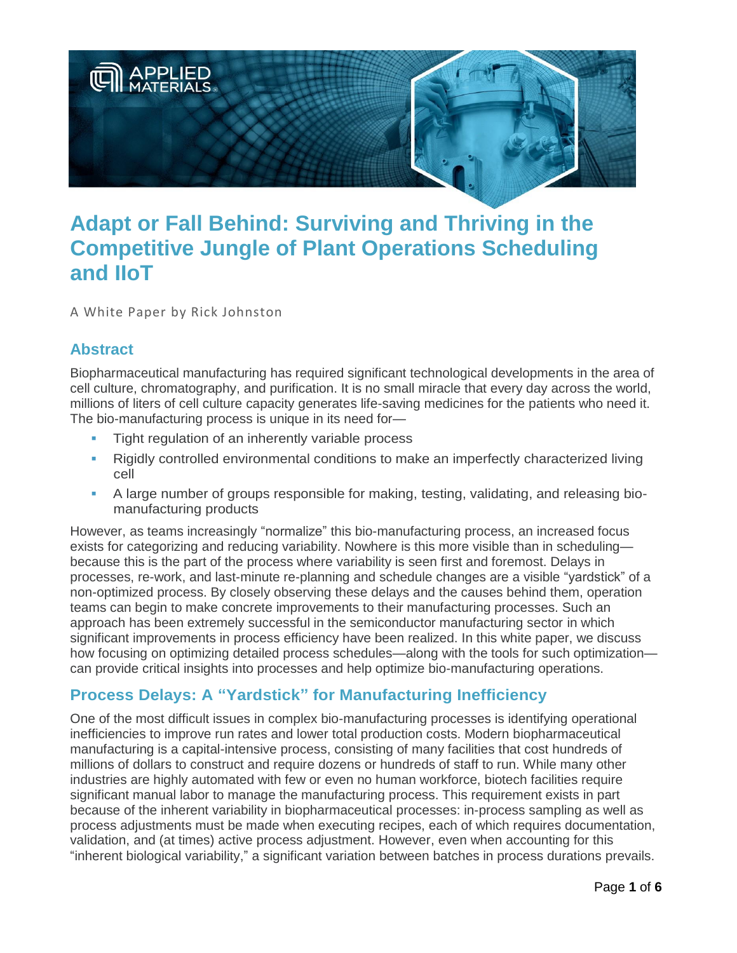

# **Adapt or Fall Behind: Surviving and Thriving in the Competitive Jungle of Plant Operations Scheduling and IIoT**

A White Paper by Rick Johnston

# **Abstract**

Biopharmaceutical manufacturing has required significant technological developments in the area of cell culture, chromatography, and purification. It is no small miracle that every day across the world, millions of liters of cell culture capacity generates life-saving medicines for the patients who need it. The bio-manufacturing process is unique in its need for—

- **Tight regulation of an inherently variable process**
- Rigidly controlled environmental conditions to make an imperfectly characterized living cell
- A large number of groups responsible for making, testing, validating, and releasing biomanufacturing products

However, as teams increasingly "normalize" this bio-manufacturing process, an increased focus exists for categorizing and reducing variability. Nowhere is this more visible than in scheduling because this is the part of the process where variability is seen first and foremost. Delays in processes, re-work, and last-minute re-planning and schedule changes are a visible "yardstick" of a non-optimized process. By closely observing these delays and the causes behind them, operation teams can begin to make concrete improvements to their manufacturing processes. Such an approach has been extremely successful in the semiconductor manufacturing sector in which significant improvements in process efficiency have been realized. In this white paper, we discuss how focusing on optimizing detailed process schedules—along with the tools for such optimization can provide critical insights into processes and help optimize bio-manufacturing operations.

# **Process Delays: A "Yardstick" for Manufacturing Inefficiency**

One of the most difficult issues in complex bio-manufacturing processes is identifying operational inefficiencies to improve run rates and lower total production costs. Modern biopharmaceutical manufacturing is a capital-intensive process, consisting of many facilities that cost hundreds of millions of dollars to construct and require dozens or hundreds of staff to run. While many other industries are highly automated with few or even no human workforce, biotech facilities require significant manual labor to manage the manufacturing process. This requirement exists in part because of the inherent variability in biopharmaceutical processes: in-process sampling as well as process adjustments must be made when executing recipes, each of which requires documentation, validation, and (at times) active process adjustment. However, even when accounting for this "inherent biological variability," a significant variation between batches in process durations prevails.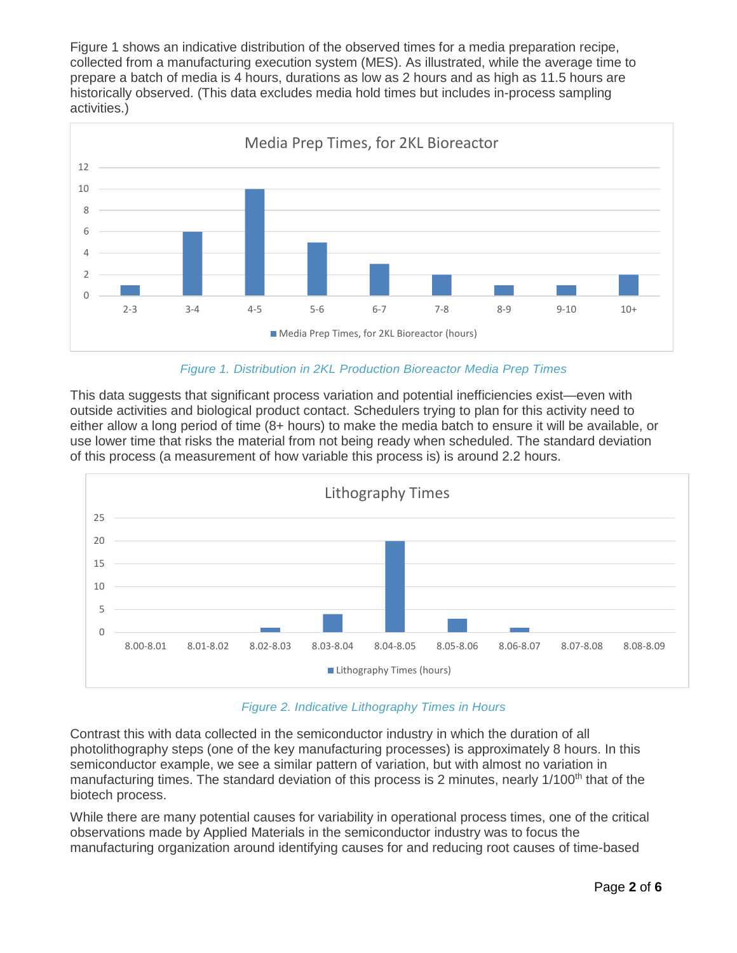Figure 1 shows an indicative distribution of the observed times for a media preparation recipe, collected from a manufacturing execution system (MES). As illustrated, while the average time to prepare a batch of media is 4 hours, durations as low as 2 hours and as high as 11.5 hours are historically observed. (This data excludes media hold times but includes in-process sampling activities.)



#### *Figure 1. Distribution in 2KL Production Bioreactor Media Prep Times*

This data suggests that significant process variation and potential inefficiencies exist—even with outside activities and biological product contact. Schedulers trying to plan for this activity need to either allow a long period of time (8+ hours) to make the media batch to ensure it will be available, or use lower time that risks the material from not being ready when scheduled. The standard deviation of this process (a measurement of how variable this process is) is around 2.2 hours.



*Figure 2. Indicative Lithography Times in Hours*

Contrast this with data collected in the semiconductor industry in which the duration of all photolithography steps (one of the key manufacturing processes) is approximately 8 hours. In this semiconductor example, we see a similar pattern of variation, but with almost no variation in manufacturing times. The standard deviation of this process is 2 minutes, nearly 1/100<sup>th</sup> that of the biotech process.

While there are many potential causes for variability in operational process times, one of the critical observations made by Applied Materials in the semiconductor industry was to focus the manufacturing organization around identifying causes for and reducing root causes of time-based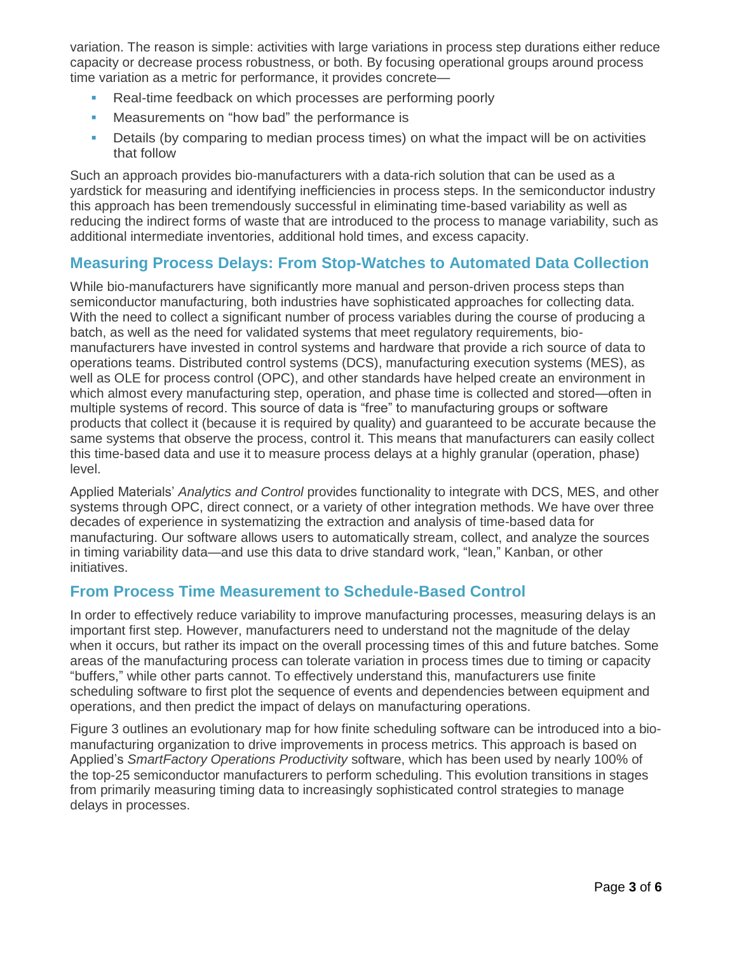variation. The reason is simple: activities with large variations in process step durations either reduce capacity or decrease process robustness, or both. By focusing operational groups around process time variation as a metric for performance, it provides concrete—

- Real-time feedback on which processes are performing poorly
- **Measurements on "how bad" the performance is**
- **•** Details (by comparing to median process times) on what the impact will be on activities that follow

Such an approach provides bio-manufacturers with a data-rich solution that can be used as a yardstick for measuring and identifying inefficiencies in process steps. In the semiconductor industry this approach has been tremendously successful in eliminating time-based variability as well as reducing the indirect forms of waste that are introduced to the process to manage variability, such as additional intermediate inventories, additional hold times, and excess capacity.

## **Measuring Process Delays: From Stop-Watches to Automated Data Collection**

While bio-manufacturers have significantly more manual and person-driven process steps than semiconductor manufacturing, both industries have sophisticated approaches for collecting data. With the need to collect a significant number of process variables during the course of producing a batch, as well as the need for validated systems that meet regulatory requirements, biomanufacturers have invested in control systems and hardware that provide a rich source of data to operations teams. Distributed control systems (DCS), manufacturing execution systems (MES), as well as OLE for process control (OPC), and other standards have helped create an environment in which almost every manufacturing step, operation, and phase time is collected and stored—often in multiple systems of record. This source of data is "free" to manufacturing groups or software products that collect it (because it is required by quality) and guaranteed to be accurate because the same systems that observe the process, control it. This means that manufacturers can easily collect this time-based data and use it to measure process delays at a highly granular (operation, phase) level.

Applied Materials' *Analytics and Control* provides functionality to integrate with DCS, MES, and other systems through OPC, direct connect, or a variety of other integration methods. We have over three decades of experience in systematizing the extraction and analysis of time-based data for manufacturing. Our software allows users to automatically stream, collect, and analyze the sources in timing variability data—and use this data to drive standard work, "lean," Kanban, or other initiatives.

#### **From Process Time Measurement to Schedule-Based Control**

In order to effectively reduce variability to improve manufacturing processes, measuring delays is an important first step. However, manufacturers need to understand not the magnitude of the delay when it occurs, but rather its impact on the overall processing times of this and future batches. Some areas of the manufacturing process can tolerate variation in process times due to timing or capacity "buffers," while other parts cannot. To effectively understand this, manufacturers use finite scheduling software to first plot the sequence of events and dependencies between equipment and operations, and then predict the impact of delays on manufacturing operations.

Figure 3 outlines an evolutionary map for how finite scheduling software can be introduced into a biomanufacturing organization to drive improvements in process metrics. This approach is based on Applied's *SmartFactory Operations Productivity* software, which has been used by nearly 100% of the top-25 semiconductor manufacturers to perform scheduling. This evolution transitions in stages from primarily measuring timing data to increasingly sophisticated control strategies to manage delays in processes.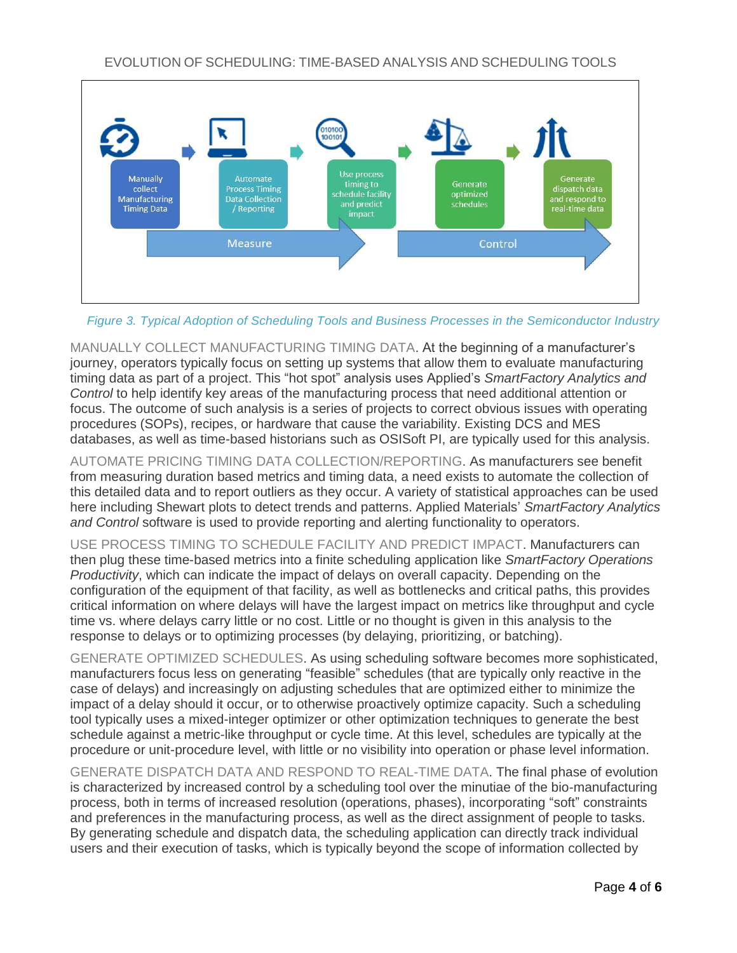

*Figure 3. Typical Adoption of Scheduling Tools and Business Processes in the Semiconductor Industry*

MANUALLY COLLECT MANUFACTURING TIMING DATA. At the beginning of a manufacturer's journey, operators typically focus on setting up systems that allow them to evaluate manufacturing timing data as part of a project. This "hot spot" analysis uses Applied's *SmartFactory Analytics and Control* to help identify key areas of the manufacturing process that need additional attention or focus. The outcome of such analysis is a series of projects to correct obvious issues with operating procedures (SOPs), recipes, or hardware that cause the variability. Existing DCS and MES databases, as well as time-based historians such as OSISoft PI, are typically used for this analysis.

AUTOMATE PRICING TIMING DATA COLLECTION/REPORTING. As manufacturers see benefit from measuring duration based metrics and timing data, a need exists to automate the collection of this detailed data and to report outliers as they occur. A variety of statistical approaches can be used here including Shewart plots to detect trends and patterns. Applied Materials' *SmartFactory Analytics and Control* software is used to provide reporting and alerting functionality to operators.

USE PROCESS TIMING TO SCHEDULE FACILITY AND PREDICT IMPACT. Manufacturers can then plug these time-based metrics into a finite scheduling application like *SmartFactory Operations Productivity*, which can indicate the impact of delays on overall capacity. Depending on the configuration of the equipment of that facility, as well as bottlenecks and critical paths, this provides critical information on where delays will have the largest impact on metrics like throughput and cycle time vs. where delays carry little or no cost. Little or no thought is given in this analysis to the response to delays or to optimizing processes (by delaying, prioritizing, or batching).

GENERATE OPTIMIZED SCHEDULES. As using scheduling software becomes more sophisticated, manufacturers focus less on generating "feasible" schedules (that are typically only reactive in the case of delays) and increasingly on adjusting schedules that are optimized either to minimize the impact of a delay should it occur, or to otherwise proactively optimize capacity. Such a scheduling tool typically uses a mixed-integer optimizer or other optimization techniques to generate the best schedule against a metric-like throughput or cycle time. At this level, schedules are typically at the procedure or unit-procedure level, with little or no visibility into operation or phase level information.

GENERATE DISPATCH DATA AND RESPOND TO REAL-TIME DATA. The final phase of evolution is characterized by increased control by a scheduling tool over the minutiae of the bio-manufacturing process, both in terms of increased resolution (operations, phases), incorporating "soft" constraints and preferences in the manufacturing process, as well as the direct assignment of people to tasks. By generating schedule and dispatch data, the scheduling application can directly track individual users and their execution of tasks, which is typically beyond the scope of information collected by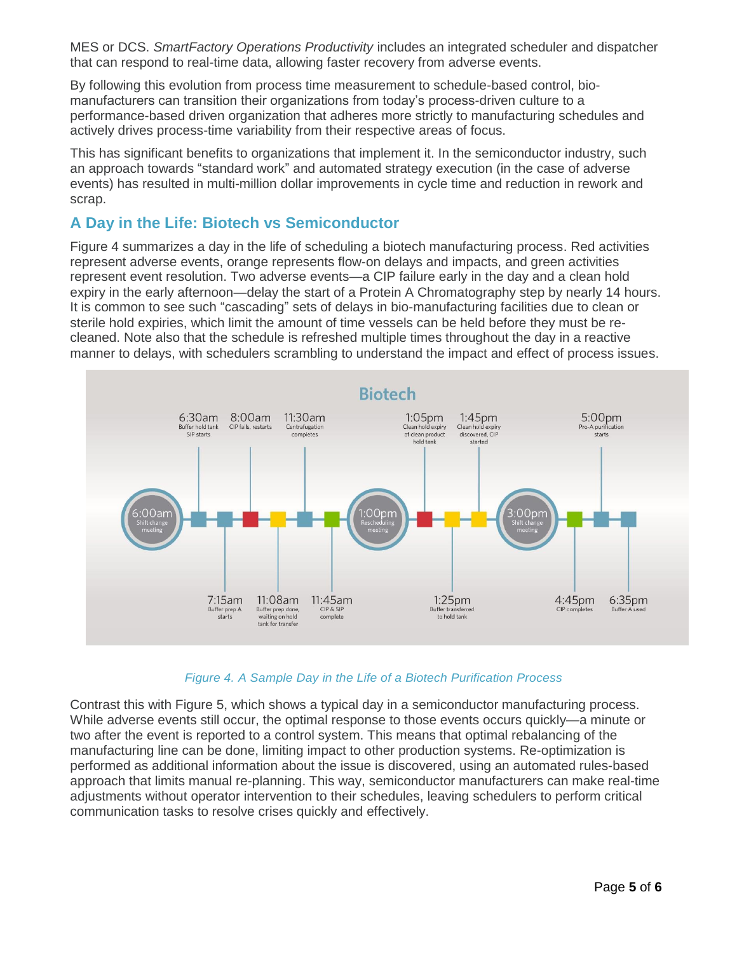MES or DCS. *SmartFactory Operations Productivity* includes an integrated scheduler and dispatcher that can respond to real-time data, allowing faster recovery from adverse events.

By following this evolution from process time measurement to schedule-based control, biomanufacturers can transition their organizations from today's process-driven culture to a performance-based driven organization that adheres more strictly to manufacturing schedules and actively drives process-time variability from their respective areas of focus.

This has significant benefits to organizations that implement it. In the semiconductor industry, such an approach towards "standard work" and automated strategy execution (in the case of adverse events) has resulted in multi-million dollar improvements in cycle time and reduction in rework and scrap.

## **A Day in the Life: Biotech vs Semiconductor**

Figure 4 summarizes a day in the life of scheduling a biotech manufacturing process. Red activities represent adverse events, orange represents flow-on delays and impacts, and green activities represent event resolution. Two adverse events—a CIP failure early in the day and a clean hold expiry in the early afternoon—delay the start of a Protein A Chromatography step by nearly 14 hours. It is common to see such "cascading" sets of delays in bio-manufacturing facilities due to clean or sterile hold expiries, which limit the amount of time vessels can be held before they must be recleaned. Note also that the schedule is refreshed multiple times throughout the day in a reactive manner to delays, with schedulers scrambling to understand the impact and effect of process issues.



#### *Figure 4. A Sample Day in the Life of a Biotech Purification Process*

Contrast this with Figure 5, which shows a typical day in a semiconductor manufacturing process. While adverse events still occur, the optimal response to those events occurs quickly—a minute or two after the event is reported to a control system. This means that optimal rebalancing of the manufacturing line can be done, limiting impact to other production systems. Re-optimization is performed as additional information about the issue is discovered, using an automated rules-based approach that limits manual re-planning. This way, semiconductor manufacturers can make real-time adjustments without operator intervention to their schedules, leaving schedulers to perform critical communication tasks to resolve crises quickly and effectively.